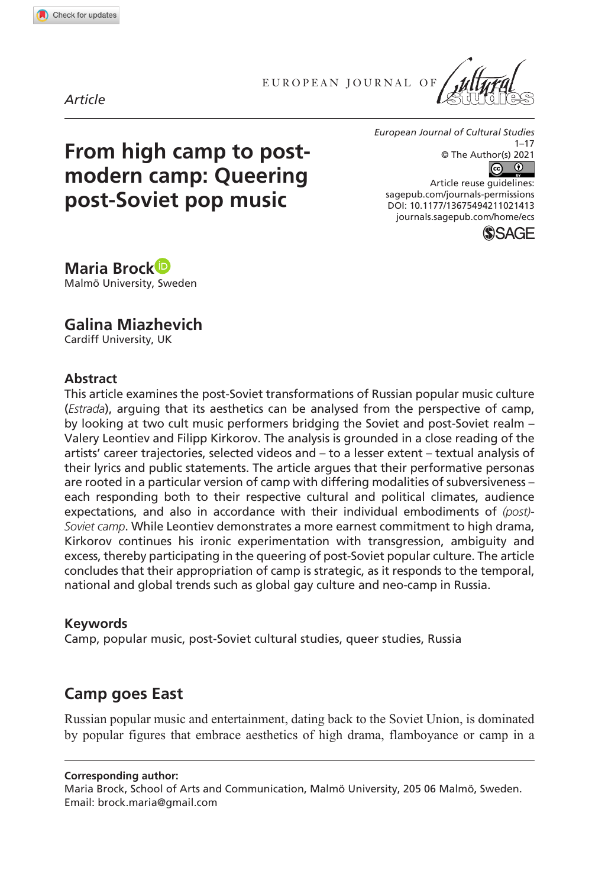**1021[413](http://crossmark.crossref.org/dialog/?doi=10.1177%2F13675494211021413&domain=pdf&date_stamp=2021-07-02)** ECS0010.1177/13675494211021413European Journal of Cultural Studies**Brock and Miazhevich**

EUROPEAN JOURNAL OF





# **From high camp to postmodern camp: Queering post-Soviet pop music**

*European Journal of Cultural Studies*  $1 - 17$ © The Author(s) 2021

https://doi.org/10.1177/13675494211021413 DOI: 10.1177/13675494211021413 Article reuse guidelines: [sagepub.com/journals-permissions](https://uk.sagepub.com/en-gb/journals-permissions) [journals.sagepub.com/home/ecs](https://journals.sagepub.com/home/ecs)



**Maria Brock** Malmö University, Sweden

**Galina Miazhevich**

Cardiff University, UK

#### **Abstract**

This article examines the post-Soviet transformations of Russian popular music culture (*Estrada*), arguing that its aesthetics can be analysed from the perspective of camp, by looking at two cult music performers bridging the Soviet and post-Soviet realm – Valery Leontiev and Filipp Kirkorov. The analysis is grounded in a close reading of the artists' career trajectories, selected videos and – to a lesser extent – textual analysis of their lyrics and public statements. The article argues that their performative personas are rooted in a particular version of camp with differing modalities of subversiveness – each responding both to their respective cultural and political climates, audience expectations, and also in accordance with their individual embodiments of *(post)- Soviet camp*. While Leontiev demonstrates a more earnest commitment to high drama, Kirkorov continues his ironic experimentation with transgression, ambiguity and excess, thereby participating in the queering of post-Soviet popular culture. The article concludes that their appropriation of camp is strategic, as it responds to the temporal, national and global trends such as global gay culture and neo-camp in Russia.

#### **Keywords**

Camp, popular music, post-Soviet cultural studies, queer studies, Russia

# **Camp goes East**

Russian popular music and entertainment, dating back to the Soviet Union, is dominated by popular figures that embrace aesthetics of high drama, flamboyance or camp in a

**Corresponding author:**

Maria Brock, School of Arts and Communication, Malmö University, 205 06 Malmö, Sweden. Email: brock.maria@gmail.com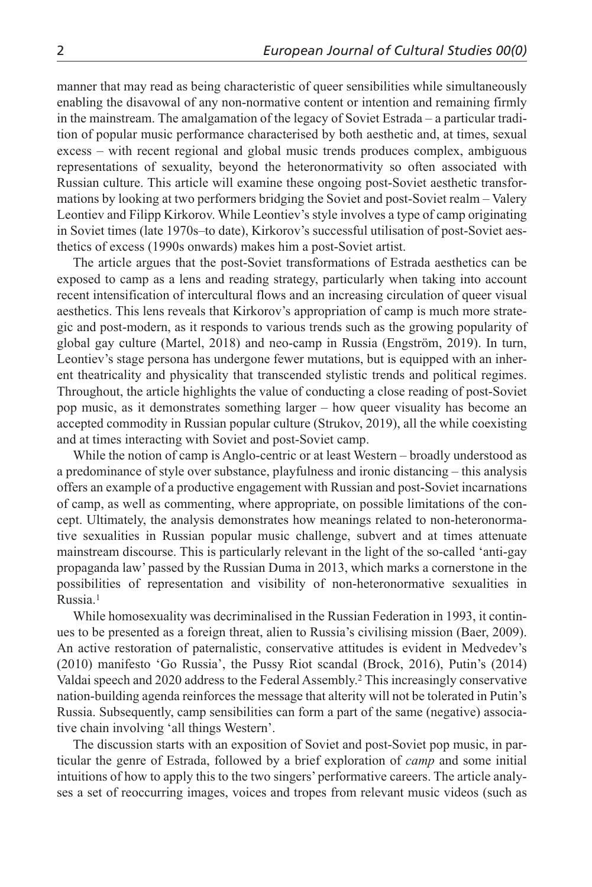manner that may read as being characteristic of queer sensibilities while simultaneously enabling the disavowal of any non-normative content or intention and remaining firmly in the mainstream. The amalgamation of the legacy of Soviet Estrada – a particular tradition of popular music performance characterised by both aesthetic and, at times, sexual excess – with recent regional and global music trends produces complex, ambiguous representations of sexuality, beyond the heteronormativity so often associated with Russian culture. This article will examine these ongoing post-Soviet aesthetic transformations by looking at two performers bridging the Soviet and post-Soviet realm – Valery Leontiev and Filipp Kirkorov. While Leontiev's style involves a type of camp originating in Soviet times (late 1970s–to date), Kirkorov's successful utilisation of post-Soviet aesthetics of excess (1990s onwards) makes him a post-Soviet artist.

The article argues that the post-Soviet transformations of Estrada aesthetics can be exposed to camp as a lens and reading strategy, particularly when taking into account recent intensification of intercultural flows and an increasing circulation of queer visual aesthetics. This lens reveals that Kirkorov's appropriation of camp is much more strategic and post-modern, as it responds to various trends such as the growing popularity of global gay culture (Martel, 2018) and neo-camp in Russia (Engström, 2019). In turn, Leontiev's stage persona has undergone fewer mutations, but is equipped with an inherent theatricality and physicality that transcended stylistic trends and political regimes. Throughout, the article highlights the value of conducting a close reading of post-Soviet pop music, as it demonstrates something larger – how queer visuality has become an accepted commodity in Russian popular culture (Strukov, 2019), all the while coexisting and at times interacting with Soviet and post-Soviet camp.

While the notion of camp is Anglo-centric or at least Western – broadly understood as a predominance of style over substance, playfulness and ironic distancing – this analysis offers an example of a productive engagement with Russian and post-Soviet incarnations of camp, as well as commenting, where appropriate, on possible limitations of the concept. Ultimately, the analysis demonstrates how meanings related to non-heteronormative sexualities in Russian popular music challenge, subvert and at times attenuate mainstream discourse. This is particularly relevant in the light of the so-called 'anti-gay propaganda law' passed by the Russian Duma in 2013, which marks a cornerstone in the possibilities of representation and visibility of non-heteronormative sexualities in Russia.1

While homosexuality was decriminalised in the Russian Federation in 1993, it continues to be presented as a foreign threat, alien to Russia's civilising mission (Baer, 2009). An active restoration of paternalistic, conservative attitudes is evident in Medvedev's (2010) manifesto 'Go Russia', the Pussy Riot scandal (Brock, 2016), Putin's (2014) Valdai speech and 2020 address to the Federal Assembly.2 This increasingly conservative nation-building agenda reinforces the message that alterity will not be tolerated in Putin's Russia. Subsequently, camp sensibilities can form a part of the same (negative) associative chain involving 'all things Western'.

The discussion starts with an exposition of Soviet and post-Soviet pop music, in particular the genre of Estrada, followed by a brief exploration of *camp* and some initial intuitions of how to apply this to the two singers' performative careers. The article analyses a set of reoccurring images, voices and tropes from relevant music videos (such as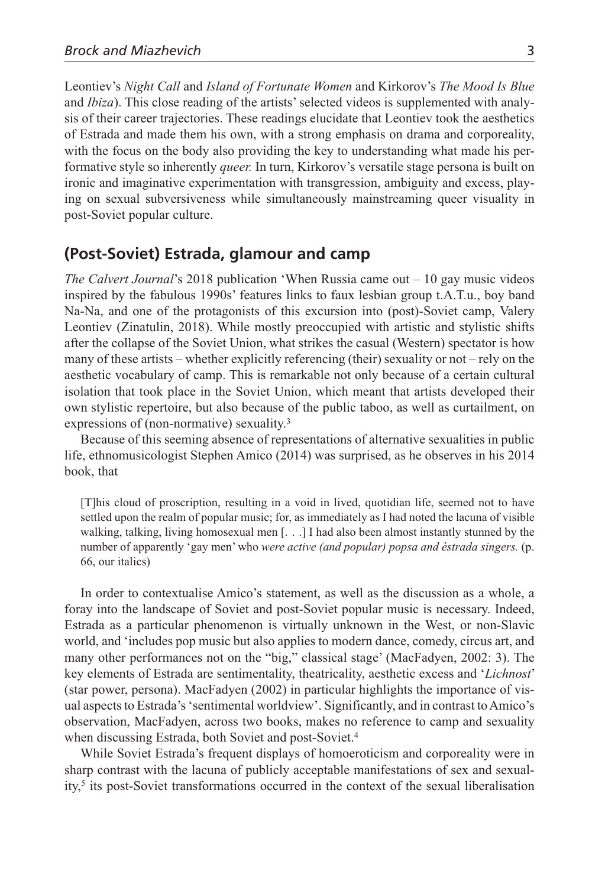Leontiev's *Night Call* and *Island of Fortunate Women* and Kirkorov's *The Mood Is Blue* and *Ibiza*). This close reading of the artists' selected videos is supplemented with analysis of their career trajectories. These readings elucidate that Leontiev took the aesthetics of Estrada and made them his own, with a strong emphasis on drama and corporeality, with the focus on the body also providing the key to understanding what made his performative style so inherently *queer.* In turn, Kirkorov's versatile stage persona is built on ironic and imaginative experimentation with transgression, ambiguity and excess, playing on sexual subversiveness while simultaneously mainstreaming queer visuality in post-Soviet popular culture.

#### **(Post-Soviet) Estrada, glamour and camp**

*The Calvert Journal*'s 2018 publication 'When Russia came out – 10 gay music videos inspired by the fabulous 1990s' features links to faux lesbian group t.A.T.u., boy band Na-Na, and one of the protagonists of this excursion into (post)-Soviet camp, Valery Leontiev (Zinatulin, 2018). While mostly preoccupied with artistic and stylistic shifts after the collapse of the Soviet Union, what strikes the casual (Western) spectator is how many of these artists – whether explicitly referencing (their) sexuality or not – rely on the aesthetic vocabulary of camp. This is remarkable not only because of a certain cultural isolation that took place in the Soviet Union, which meant that artists developed their own stylistic repertoire, but also because of the public taboo, as well as curtailment, on expressions of (non-normative) sexuality.3

Because of this seeming absence of representations of alternative sexualities in public life, ethnomusicologist Stephen Amico (2014) was surprised, as he observes in his 2014 book, that

[T]his cloud of proscription, resulting in a void in lived, quotidian life, seemed not to have settled upon the realm of popular music; for, as immediately as I had noted the lacuna of visible walking, talking, living homosexual men [. . .] I had also been almost instantly stunned by the number of apparently 'gay men' who *were active (and popular) popsa and èstrada singers.* (p. 66, our italics)

In order to contextualise Amico's statement, as well as the discussion as a whole, a foray into the landscape of Soviet and post-Soviet popular music is necessary. Indeed, Estrada as a particular phenomenon is virtually unknown in the West, or non-Slavic world, and 'includes pop music but also applies to modern dance, comedy, circus art, and many other performances not on the "big," classical stage' (MacFadyen, 2002: 3). The key elements of Estrada are sentimentality, theatricality, aesthetic excess and '*Lichnost*' (star power, persona). MacFadyen (2002) in particular highlights the importance of visual aspects to Estrada's 'sentimental worldview'. Significantly, and in contrast to Amico's observation, MacFadyen, across two books, makes no reference to camp and sexuality when discussing Estrada, both Soviet and post-Soviet.<sup>4</sup>

While Soviet Estrada's frequent displays of homoeroticism and corporeality were in sharp contrast with the lacuna of publicly acceptable manifestations of sex and sexual $ity<sub>1</sub>$ <sup>5</sup> its post-Soviet transformations occurred in the context of the sexual liberalisation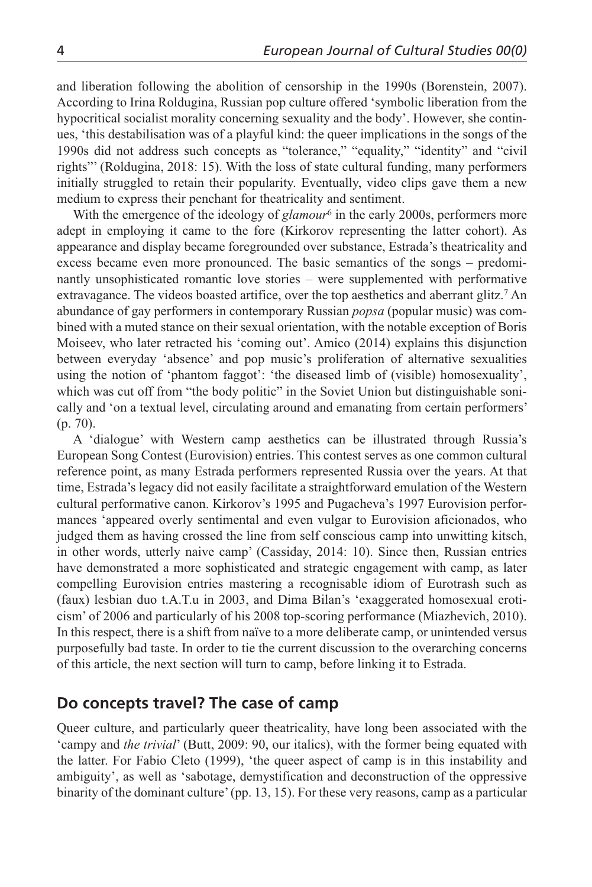and liberation following the abolition of censorship in the 1990s (Borenstein, 2007). According to Irina Roldugina, Russian pop culture offered 'symbolic liberation from the hypocritical socialist morality concerning sexuality and the body'. However, she continues, 'this destabilisation was of a playful kind: the queer implications in the songs of the 1990s did not address such concepts as "tolerance," "equality," "identity" and "civil rights"' (Roldugina, 2018: 15). With the loss of state cultural funding, many performers initially struggled to retain their popularity. Eventually, video clips gave them a new medium to express their penchant for theatricality and sentiment.

With the emergence of the ideology of *glamour*<sup>6</sup> in the early 2000s, performers more adept in employing it came to the fore (Kirkorov representing the latter cohort). As appearance and display became foregrounded over substance, Estrada's theatricality and excess became even more pronounced. The basic semantics of the songs – predominantly unsophisticated romantic love stories – were supplemented with performative extravagance. The videos boasted artifice, over the top aesthetics and aberrant glitz.<sup>7</sup> An abundance of gay performers in contemporary Russian *popsa* (popular music) was combined with a muted stance on their sexual orientation, with the notable exception of Boris Moiseev, who later retracted his 'coming out'. Amico (2014) explains this disjunction between everyday 'absence' and pop music's proliferation of alternative sexualities using the notion of 'phantom faggot': 'the diseased limb of (visible) homosexuality', which was cut off from "the body politic" in the Soviet Union but distinguishable sonically and 'on a textual level, circulating around and emanating from certain performers' (p. 70).

A 'dialogue' with Western camp aesthetics can be illustrated through Russia's European Song Contest (Eurovision) entries. This contest serves as one common cultural reference point, as many Estrada performers represented Russia over the years. At that time, Estrada's legacy did not easily facilitate a straightforward emulation of the Western cultural performative canon. Kirkorov's 1995 and Pugacheva's 1997 Eurovision performances 'appeared overly sentimental and even vulgar to Eurovision aficionados, who judged them as having crossed the line from self conscious camp into unwitting kitsch, in other words, utterly naive camp' (Cassiday, 2014: 10). Since then, Russian entries have demonstrated a more sophisticated and strategic engagement with camp, as later compelling Eurovision entries mastering a recognisable idiom of Eurotrash such as (faux) lesbian duo t.A.T.u in 2003, and Dima Bilan's 'exaggerated homosexual eroticism' of 2006 and particularly of his 2008 top-scoring performance (Miazhevich, 2010). In this respect, there is a shift from naïve to a more deliberate camp, or unintended versus purposefully bad taste. In order to tie the current discussion to the overarching concerns of this article, the next section will turn to camp, before linking it to Estrada.

#### **Do concepts travel? The case of camp**

Queer culture, and particularly queer theatricality, have long been associated with the 'campy and *the trivial*' (Butt, 2009: 90, our italics), with the former being equated with the latter. For Fabio Cleto (1999), 'the queer aspect of camp is in this instability and ambiguity', as well as 'sabotage, demystification and deconstruction of the oppressive binarity of the dominant culture' (pp. 13, 15). For these very reasons, camp as a particular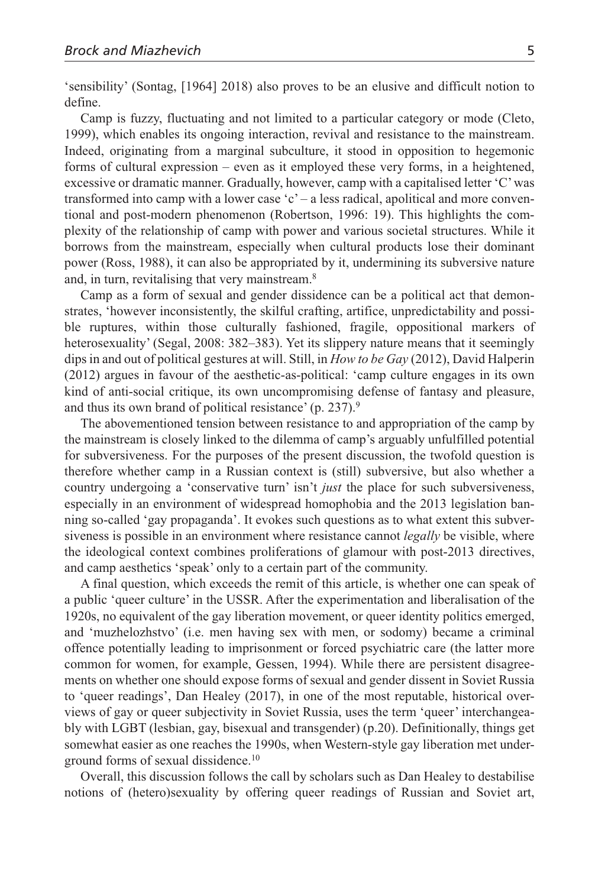'sensibility' (Sontag, [1964] 2018) also proves to be an elusive and difficult notion to define.

Camp is fuzzy, fluctuating and not limited to a particular category or mode (Cleto, 1999), which enables its ongoing interaction, revival and resistance to the mainstream. Indeed, originating from a marginal subculture, it stood in opposition to hegemonic forms of cultural expression – even as it employed these very forms, in a heightened, excessive or dramatic manner. Gradually, however, camp with a capitalised letter 'C' was transformed into camp with a lower case 'c' – a less radical, apolitical and more conventional and post-modern phenomenon (Robertson, 1996: 19). This highlights the complexity of the relationship of camp with power and various societal structures. While it borrows from the mainstream, especially when cultural products lose their dominant power (Ross, 1988), it can also be appropriated by it, undermining its subversive nature and, in turn, revitalising that very mainstream.8

Camp as a form of sexual and gender dissidence can be a political act that demonstrates, 'however inconsistently, the skilful crafting, artifice, unpredictability and possible ruptures, within those culturally fashioned, fragile, oppositional markers of heterosexuality' (Segal, 2008: 382–383). Yet its slippery nature means that it seemingly dips in and out of political gestures at will. Still, in *How to be Gay* (2012), David Halperin (2012) argues in favour of the aesthetic-as-political: 'camp culture engages in its own kind of anti-social critique, its own uncompromising defense of fantasy and pleasure, and thus its own brand of political resistance' (p. 237).9

The abovementioned tension between resistance to and appropriation of the camp by the mainstream is closely linked to the dilemma of camp's arguably unfulfilled potential for subversiveness. For the purposes of the present discussion, the twofold question is therefore whether camp in a Russian context is (still) subversive, but also whether a country undergoing a 'conservative turn' isn't *just* the place for such subversiveness, especially in an environment of widespread homophobia and the 2013 legislation banning so-called 'gay propaganda'. It evokes such questions as to what extent this subversiveness is possible in an environment where resistance cannot *legally* be visible, where the ideological context combines proliferations of glamour with post-2013 directives, and camp aesthetics 'speak' only to a certain part of the community.

A final question, which exceeds the remit of this article, is whether one can speak of a public 'queer culture' in the USSR. After the experimentation and liberalisation of the 1920s, no equivalent of the gay liberation movement, or queer identity politics emerged, and 'muzhelozhstvo' (i.e. men having sex with men, or sodomy) became a criminal offence potentially leading to imprisonment or forced psychiatric care (the latter more common for women, for example, Gessen, 1994). While there are persistent disagreements on whether one should expose forms of sexual and gender dissent in Soviet Russia to 'queer readings', Dan Healey (2017), in one of the most reputable, historical overviews of gay or queer subjectivity in Soviet Russia, uses the term 'queer' interchangeably with LGBT (lesbian, gay, bisexual and transgender) (p.20). Definitionally, things get somewhat easier as one reaches the 1990s, when Western-style gay liberation met underground forms of sexual dissidence.10

Overall, this discussion follows the call by scholars such as Dan Healey to destabilise notions of (hetero)sexuality by offering queer readings of Russian and Soviet art,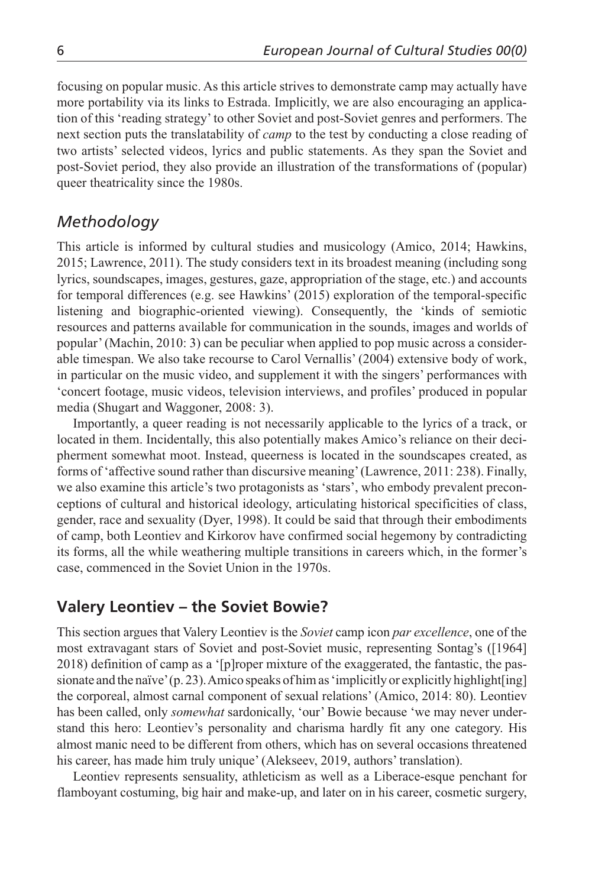focusing on popular music. As this article strives to demonstrate camp may actually have more portability via its links to Estrada. Implicitly, we are also encouraging an application of this 'reading strategy' to other Soviet and post-Soviet genres and performers. The next section puts the translatability of *camp* to the test by conducting a close reading of two artists' selected videos, lyrics and public statements. As they span the Soviet and post-Soviet period, they also provide an illustration of the transformations of (popular) queer theatricality since the 1980s.

## *Methodology*

This article is informed by cultural studies and musicology (Amico, 2014; Hawkins, 2015; Lawrence, 2011). The study considers text in its broadest meaning (including song lyrics, soundscapes, images, gestures, gaze, appropriation of the stage, etc.) and accounts for temporal differences (e.g. see Hawkins' (2015) exploration of the temporal-specific listening and biographic-oriented viewing). Consequently, the 'kinds of semiotic resources and patterns available for communication in the sounds, images and worlds of popular' (Machin, 2010: 3) can be peculiar when applied to pop music across a considerable timespan. We also take recourse to Carol Vernallis' (2004) extensive body of work, in particular on the music video, and supplement it with the singers' performances with 'concert footage, music videos, television interviews, and profiles' produced in popular media (Shugart and Waggoner, 2008: 3).

Importantly, a queer reading is not necessarily applicable to the lyrics of a track, or located in them. Incidentally, this also potentially makes Amico's reliance on their decipherment somewhat moot. Instead, queerness is located in the soundscapes created, as forms of 'affective sound rather than discursive meaning' (Lawrence, 2011: 238). Finally, we also examine this article's two protagonists as 'stars', who embody prevalent preconceptions of cultural and historical ideology, articulating historical specificities of class, gender, race and sexuality (Dyer, 1998). It could be said that through their embodiments of camp, both Leontiev and Kirkorov have confirmed social hegemony by contradicting its forms, all the while weathering multiple transitions in careers which, in the former's case, commenced in the Soviet Union in the 1970s.

# **Valery Leontiev – the Soviet Bowie?**

This section argues that Valery Leontiev is the *Soviet* camp icon *par excellence*, one of the most extravagant stars of Soviet and post-Soviet music, representing Sontag's ([1964] 2018) definition of camp as a '[p]roper mixture of the exaggerated, the fantastic, the passionate and the naïve' (p. 23). Amico speaks of him as 'implicitly or explicitly highlight[ing] the corporeal, almost carnal component of sexual relations' (Amico, 2014: 80). Leontiev has been called, only *somewhat* sardonically, 'our' Bowie because 'we may never understand this hero: Leontiev's personality and charisma hardly fit any one category. His almost manic need to be different from others, which has on several occasions threatened his career, has made him truly unique' (Alekseev, 2019, authors' translation).

Leontiev represents sensuality, athleticism as well as a Liberace-esque penchant for flamboyant costuming, big hair and make-up, and later on in his career, cosmetic surgery,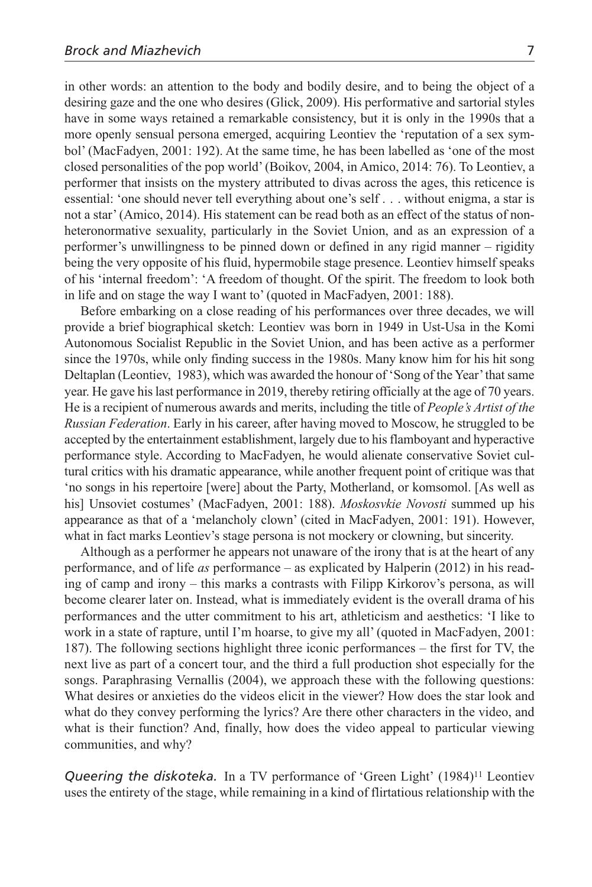in other words: an attention to the body and bodily desire, and to being the object of a desiring gaze and the one who desires (Glick, 2009). His performative and sartorial styles have in some ways retained a remarkable consistency, but it is only in the 1990s that a more openly sensual persona emerged, acquiring Leontiev the 'reputation of a sex symbol' (MacFadyen, 2001: 192). At the same time, he has been labelled as 'one of the most closed personalities of the pop world' (Boikov, 2004, in Amico, 2014: 76). To Leontiev, a performer that insists on the mystery attributed to divas across the ages, this reticence is essential: 'one should never tell everything about one's self . . . without enigma, a star is not a star' (Amico, 2014). His statement can be read both as an effect of the status of nonheteronormative sexuality, particularly in the Soviet Union, and as an expression of a performer's unwillingness to be pinned down or defined in any rigid manner – rigidity being the very opposite of his fluid, hypermobile stage presence. Leontiev himself speaks of his 'internal freedom': 'A freedom of thought. Of the spirit. The freedom to look both in life and on stage the way I want to' (quoted in MacFadyen, 2001: 188).

Before embarking on a close reading of his performances over three decades, we will provide a brief biographical sketch: Leontiev was born in 1949 in Ust-Usa in the Komi Autonomous Socialist Republic in the Soviet Union, and has been active as a performer since the 1970s, while only finding success in the 1980s. Many know him for his hit song Deltaplan (Leontiev, 1983), which was awarded the honour of 'Song of the Year' that same year. He gave his last performance in 2019, thereby retiring officially at the age of 70 years. He is a recipient of numerous awards and merits, including the title of *People's Artist of the Russian Federation*. Early in his career, after having moved to Moscow, he struggled to be accepted by the entertainment establishment, largely due to his flamboyant and hyperactive performance style. According to MacFadyen, he would alienate conservative Soviet cultural critics with his dramatic appearance, while another frequent point of critique was that 'no songs in his repertoire [were] about the Party, Motherland, or komsomol. [As well as his] Unsoviet costumes' (MacFadyen, 2001: 188). *Moskosvkie Novosti* summed up his appearance as that of a 'melancholy clown' (cited in MacFadyen, 2001: 191). However, what in fact marks Leontiev's stage persona is not mockery or clowning, but sincerity.

Although as a performer he appears not unaware of the irony that is at the heart of any performance, and of life *as* performance – as explicated by Halperin (2012) in his reading of camp and irony – this marks a contrasts with Filipp Kirkorov's persona, as will become clearer later on. Instead, what is immediately evident is the overall drama of his performances and the utter commitment to his art, athleticism and aesthetics: 'I like to work in a state of rapture, until I'm hoarse, to give my all' (quoted in MacFadyen, 2001: 187). The following sections highlight three iconic performances – the first for TV, the next live as part of a concert tour, and the third a full production shot especially for the songs. Paraphrasing Vernallis (2004), we approach these with the following questions: What desires or anxieties do the videos elicit in the viewer? How does the star look and what do they convey performing the lyrics? Are there other characters in the video, and what is their function? And, finally, how does the video appeal to particular viewing communities, and why?

*Queering the diskoteka.* In a TV performance of 'Green Light' (1984)<sup>11</sup> Leontiev uses the entirety of the stage, while remaining in a kind of flirtatious relationship with the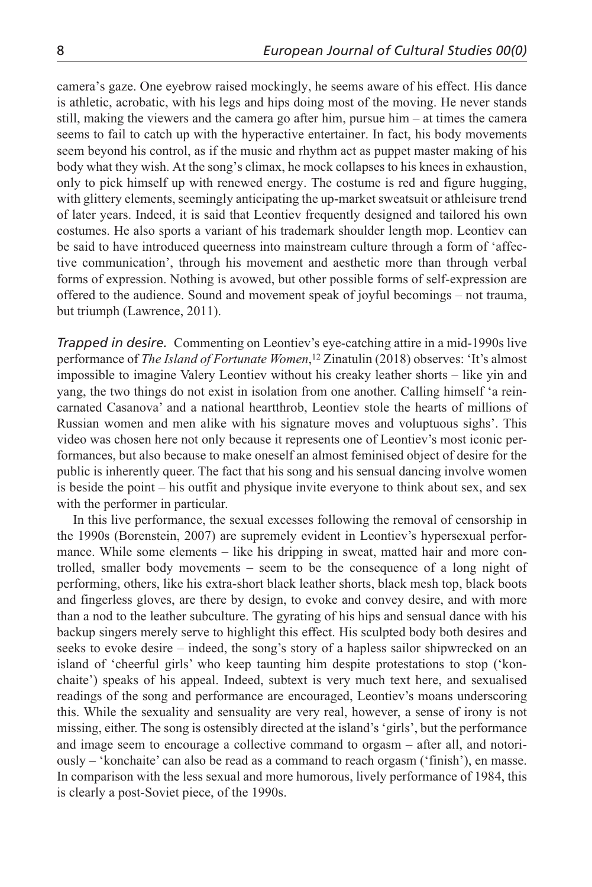camera's gaze. One eyebrow raised mockingly, he seems aware of his effect. His dance is athletic, acrobatic, with his legs and hips doing most of the moving. He never stands still, making the viewers and the camera go after him, pursue him – at times the camera seems to fail to catch up with the hyperactive entertainer. In fact, his body movements seem beyond his control, as if the music and rhythm act as puppet master making of his body what they wish. At the song's climax, he mock collapses to his knees in exhaustion, only to pick himself up with renewed energy. The costume is red and figure hugging, with glittery elements, seemingly anticipating the up-market sweatsuit or athleisure trend of later years. Indeed, it is said that Leontiev frequently designed and tailored his own costumes. He also sports a variant of his trademark shoulder length mop. Leontiev can be said to have introduced queerness into mainstream culture through a form of 'affective communication', through his movement and aesthetic more than through verbal forms of expression. Nothing is avowed, but other possible forms of self-expression are offered to the audience. Sound and movement speak of joyful becomings – not trauma, but triumph (Lawrence, 2011).

*Trapped in desire.* Commenting on Leontiev's eye-catching attire in a mid-1990s live performance of *The Island of Fortunate Women*, 12 Zinatulin (2018) observes: 'It's almost impossible to imagine Valery Leontiev without his creaky leather shorts – like yin and yang, the two things do not exist in isolation from one another. Calling himself 'a reincarnated Casanova' and a national heartthrob, Leontiev stole the hearts of millions of Russian women and men alike with his signature moves and voluptuous sighs'. This video was chosen here not only because it represents one of Leontiev's most iconic performances, but also because to make oneself an almost feminised object of desire for the public is inherently queer. The fact that his song and his sensual dancing involve women is beside the point – his outfit and physique invite everyone to think about sex, and sex with the performer in particular.

In this live performance, the sexual excesses following the removal of censorship in the 1990s (Borenstein, 2007) are supremely evident in Leontiev's hypersexual performance. While some elements – like his dripping in sweat, matted hair and more controlled, smaller body movements – seem to be the consequence of a long night of performing, others, like his extra-short black leather shorts, black mesh top, black boots and fingerless gloves, are there by design, to evoke and convey desire, and with more than a nod to the leather subculture. The gyrating of his hips and sensual dance with his backup singers merely serve to highlight this effect. His sculpted body both desires and seeks to evoke desire – indeed, the song's story of a hapless sailor shipwrecked on an island of 'cheerful girls' who keep taunting him despite protestations to stop ('konchaite') speaks of his appeal. Indeed, subtext is very much text here, and sexualised readings of the song and performance are encouraged, Leontiev's moans underscoring this. While the sexuality and sensuality are very real, however, a sense of irony is not missing, either. The song is ostensibly directed at the island's 'girls', but the performance and image seem to encourage a collective command to orgasm – after all, and notoriously – 'konchaite' can also be read as a command to reach orgasm ('finish'), en masse. In comparison with the less sexual and more humorous, lively performance of 1984, this is clearly a post-Soviet piece, of the 1990s.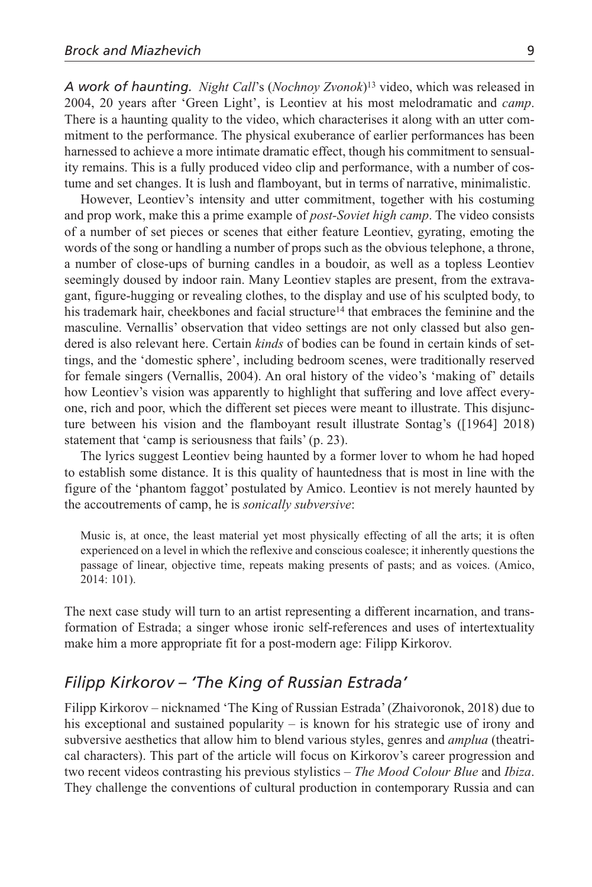*A work of haunting. Night Call*'s (*Nochnoy Zvonok*)13 video, which was released in 2004, 20 years after 'Green Light', is Leontiev at his most melodramatic and *camp*. There is a haunting quality to the video, which characterises it along with an utter commitment to the performance. The physical exuberance of earlier performances has been harnessed to achieve a more intimate dramatic effect, though his commitment to sensuality remains. This is a fully produced video clip and performance, with a number of costume and set changes. It is lush and flamboyant, but in terms of narrative, minimalistic.

However, Leontiev's intensity and utter commitment, together with his costuming and prop work, make this a prime example of *post-Soviet high camp*. The video consists of a number of set pieces or scenes that either feature Leontiev, gyrating, emoting the words of the song or handling a number of props such as the obvious telephone, a throne, a number of close-ups of burning candles in a boudoir, as well as a topless Leontiev seemingly doused by indoor rain. Many Leontiev staples are present, from the extravagant, figure-hugging or revealing clothes, to the display and use of his sculpted body, to his trademark hair, cheekbones and facial structure<sup>14</sup> that embraces the feminine and the masculine. Vernallis' observation that video settings are not only classed but also gendered is also relevant here. Certain *kinds* of bodies can be found in certain kinds of settings, and the 'domestic sphere', including bedroom scenes, were traditionally reserved for female singers (Vernallis, 2004). An oral history of the video's 'making of' details how Leontiev's vision was apparently to highlight that suffering and love affect everyone, rich and poor, which the different set pieces were meant to illustrate. This disjuncture between his vision and the flamboyant result illustrate Sontag's ([1964] 2018) statement that 'camp is seriousness that fails' (p. 23).

The lyrics suggest Leontiev being haunted by a former lover to whom he had hoped to establish some distance. It is this quality of hauntedness that is most in line with the figure of the 'phantom faggot' postulated by Amico. Leontiev is not merely haunted by the accoutrements of camp, he is *sonically subversive*:

Music is, at once, the least material yet most physically effecting of all the arts; it is often experienced on a level in which the reflexive and conscious coalesce; it inherently questions the passage of linear, objective time, repeats making presents of pasts; and as voices. (Amico, 2014: 101).

The next case study will turn to an artist representing a different incarnation, and transformation of Estrada; a singer whose ironic self-references and uses of intertextuality make him a more appropriate fit for a post-modern age: Filipp Kirkorov.

## *Filipp Kirkorov – 'The King of Russian Estrada'*

Filipp Kirkorov – nicknamed 'The King of Russian Estrada' (Zhaivoronok, 2018) due to his exceptional and sustained popularity – is known for his strategic use of irony and subversive aesthetics that allow him to blend various styles, genres and *amplua* (theatrical characters). This part of the article will focus on Kirkorov's career progression and two recent videos contrasting his previous stylistics – *The Mood Colour Blue* and *Ibiza*. They challenge the conventions of cultural production in contemporary Russia and can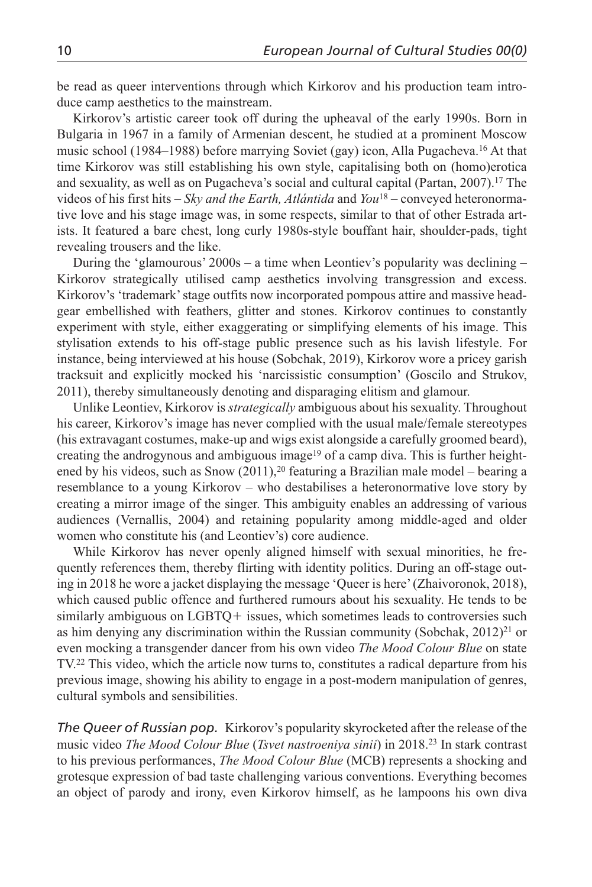be read as queer interventions through which Kirkorov and his production team introduce camp aesthetics to the mainstream.

Kirkorov's artistic career took off during the upheaval of the early 1990s. Born in Bulgaria in 1967 in a family of Armenian descent, he studied at a prominent Moscow music school (1984–1988) before marrying Soviet (gay) icon, Alla Pugacheva.16 At that time Kirkorov was still establishing his own style, capitalising both on (homo)erotica and sexuality, as well as on Pugacheva's social and cultural capital (Partan, 2007).17 The videos of his first hits – *Sky and the Earth, Atlántida* and *You*<sup>18</sup> *–* conveyed heteronormative love and his stage image was, in some respects, similar to that of other Estrada artists. It featured a bare chest, long curly 1980s-style bouffant hair, shoulder-pads, tight revealing trousers and the like.

During the 'glamourous' 2000s – a time when Leontiev's popularity was declining – Kirkorov strategically utilised camp aesthetics involving transgression and excess. Kirkorov's 'trademark' stage outfits now incorporated pompous attire and massive headgear embellished with feathers, glitter and stones. Kirkorov continues to constantly experiment with style, either exaggerating or simplifying elements of his image. This stylisation extends to his off-stage public presence such as his lavish lifestyle. For instance, being interviewed at his house (Sobchak, 2019), Kirkorov wore a pricey garish tracksuit and explicitly mocked his 'narcissistic consumption' (Goscilo and Strukov, 2011), thereby simultaneously denoting and disparaging elitism and glamour.

Unlike Leontiev, Kirkorov is *strategically* ambiguous about his sexuality. Throughout his career, Kirkorov's image has never complied with the usual male/female stereotypes (his extravagant costumes, make-up and wigs exist alongside a carefully groomed beard), creating the androgynous and ambiguous image<sup>19</sup> of a camp diva. This is further heightened by his videos, such as Snow (2011),<sup>20</sup> featuring a Brazilian male model – bearing a resemblance to a young Kirkorov – who destabilises a heteronormative love story by creating a mirror image of the singer. This ambiguity enables an addressing of various audiences (Vernallis, 2004) and retaining popularity among middle-aged and older women who constitute his (and Leontiev's) core audience.

While Kirkorov has never openly aligned himself with sexual minorities, he frequently references them, thereby flirting with identity politics. During an off-stage outing in 2018 he wore a jacket displaying the message 'Queer is here' (Zhaivoronok, 2018), which caused public offence and furthered rumours about his sexuality. He tends to be similarly ambiguous on LGBTQ + issues, which sometimes leads to controversies such as him denying any discrimination within the Russian community (Sobchak,  $2012)^{21}$  or even mocking a transgender dancer from his own video *The Mood Colour Blue* on state TV.22 This video, which the article now turns to, constitutes a radical departure from his previous image, showing his ability to engage in a post-modern manipulation of genres, cultural symbols and sensibilities.

*The Queer of Russian pop.* Kirkorov's popularity skyrocketed after the release of the music video *The Mood Colour Blue* (*Tsvet nastroeniya sinii*) in 2018.23 In stark contrast to his previous performances, *The Mood Colour Blue* (MCB) represents a shocking and grotesque expression of bad taste challenging various conventions. Everything becomes an object of parody and irony, even Kirkorov himself, as he lampoons his own diva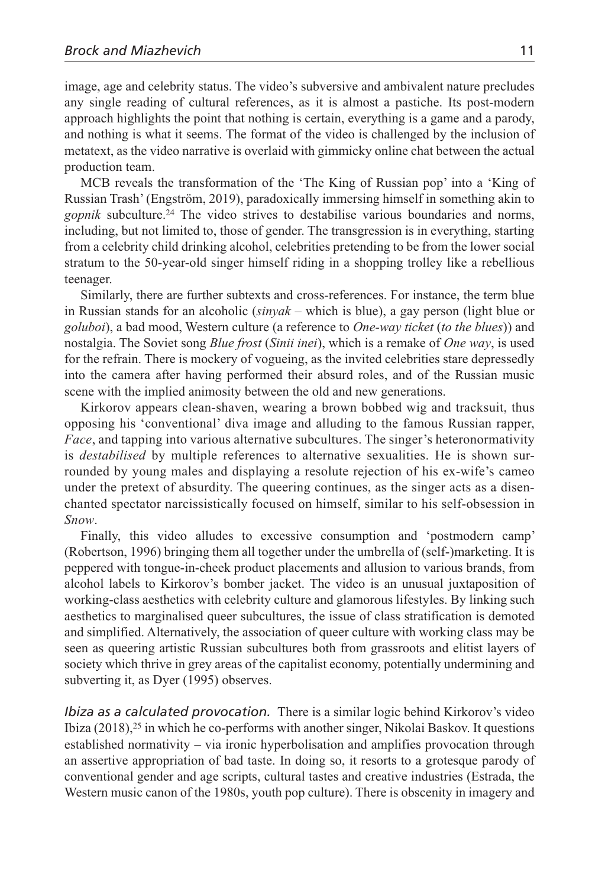image, age and celebrity status. The video's subversive and ambivalent nature precludes any single reading of cultural references, as it is almost a pastiche. Its post-modern approach highlights the point that nothing is certain, everything is a game and a parody, and nothing is what it seems. The format of the video is challenged by the inclusion of metatext, as the video narrative is overlaid with gimmicky online chat between the actual production team.

MCB reveals the transformation of the 'The King of Russian pop' into a 'King of Russian Trash' (Engström, 2019), paradoxically immersing himself in something akin to *gopnik* subculture.24 The video strives to destabilise various boundaries and norms, including, but not limited to, those of gender. The transgression is in everything, starting from a celebrity child drinking alcohol, celebrities pretending to be from the lower social stratum to the 50-year-old singer himself riding in a shopping trolley like a rebellious teenager.

Similarly, there are further subtexts and cross-references. For instance, the term blue in Russian stands for an alcoholic (*sinyak* – which is blue), a gay person (light blue or *goluboi*), a bad mood, Western culture (a reference to *One-way ticket* (*to the blues*)) and nostalgia. The Soviet song *Blue frost* (*Sinii inei*), which is a remake of *One way*, is used for the refrain. There is mockery of vogueing, as the invited celebrities stare depressedly into the camera after having performed their absurd roles, and of the Russian music scene with the implied animosity between the old and new generations.

Kirkorov appears clean-shaven, wearing a brown bobbed wig and tracksuit, thus opposing his 'conventional' diva image and alluding to the famous Russian rapper, *Face*, and tapping into various alternative subcultures. The singer's heteronormativity is *destabilised* by multiple references to alternative sexualities. He is shown surrounded by young males and displaying a resolute rejection of his ex-wife's cameo under the pretext of absurdity. The queering continues, as the singer acts as a disenchanted spectator narcissistically focused on himself, similar to his self-obsession in *Snow*.

Finally, this video alludes to excessive consumption and 'postmodern camp' (Robertson, 1996) bringing them all together under the umbrella of (self-)marketing. It is peppered with tongue-in-cheek product placements and allusion to various brands, from alcohol labels to Kirkorov's bomber jacket. The video is an unusual juxtaposition of working-class aesthetics with celebrity culture and glamorous lifestyles. By linking such aesthetics to marginalised queer subcultures, the issue of class stratification is demoted and simplified. Alternatively, the association of queer culture with working class may be seen as queering artistic Russian subcultures both from grassroots and elitist layers of society which thrive in grey areas of the capitalist economy, potentially undermining and subverting it, as Dyer (1995) observes.

*Ibiza as a calculated provocation.* There is a similar logic behind Kirkorov's video Ibiza  $(2018)^{25}$  in which he co-performs with another singer, Nikolai Baskov. It questions established normativity – via ironic hyperbolisation and amplifies provocation through an assertive appropriation of bad taste. In doing so, it resorts to a grotesque parody of conventional gender and age scripts, cultural tastes and creative industries (Estrada, the Western music canon of the 1980s, youth pop culture). There is obscenity in imagery and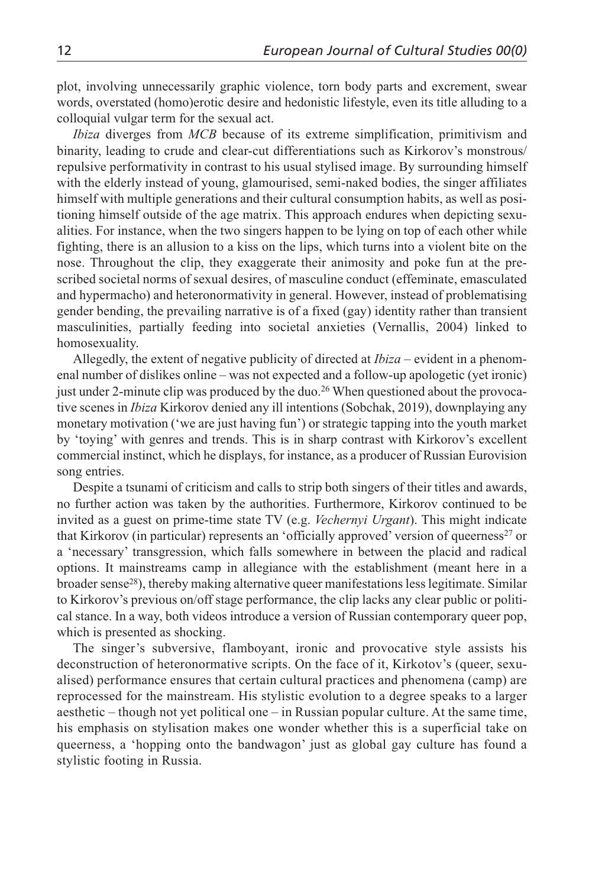plot, involving unnecessarily graphic violence, torn body parts and excrement, swear words, overstated (homo)erotic desire and hedonistic lifestyle, even its title alluding to a colloquial vulgar term for the sexual act.

*Ibiza* diverges from *MCB* because of its extreme simplification, primitivism and binarity, leading to crude and clear-cut differentiations such as Kirkorov's monstrous/ repulsive performativity in contrast to his usual stylised image. By surrounding himself with the elderly instead of young, glamourised, semi-naked bodies, the singer affiliates himself with multiple generations and their cultural consumption habits, as well as positioning himself outside of the age matrix. This approach endures when depicting sexualities. For instance, when the two singers happen to be lying on top of each other while fighting, there is an allusion to a kiss on the lips, which turns into a violent bite on the nose. Throughout the clip, they exaggerate their animosity and poke fun at the prescribed societal norms of sexual desires, of masculine conduct (effeminate, emasculated and hypermacho) and heteronormativity in general. However, instead of problematising gender bending, the prevailing narrative is of a fixed (gay) identity rather than transient masculinities, partially feeding into societal anxieties (Vernallis, 2004) linked to homosexuality.

Allegedly, the extent of negative publicity of directed at *Ibiza –* evident in a phenomenal number of dislikes online – was not expected and a follow-up apologetic (yet ironic) just under 2-minute clip was produced by the duo.26 When questioned about the provocative scenes in *Ibiza* Kirkorov denied any ill intentions (Sobchak, 2019), downplaying any monetary motivation ('we are just having fun') or strategic tapping into the youth market by 'toying' with genres and trends. This is in sharp contrast with Kirkorov's excellent commercial instinct, which he displays, for instance, as a producer of Russian Eurovision song entries.

Despite a tsunami of criticism and calls to strip both singers of their titles and awards, no further action was taken by the authorities. Furthermore, Kirkorov continued to be invited as a guest on prime-time state TV (e.g. *Vechernyi Urgant*). This might indicate that Kirkorov (in particular) represents an 'officially approved' version of queerness<sup>27</sup> or a 'necessary' transgression, which falls somewhere in between the placid and radical options. It mainstreams camp in allegiance with the establishment (meant here in a broader sense<sup>28</sup>), thereby making alternative queer manifestations less legitimate. Similar to Kirkorov's previous on/off stage performance, the clip lacks any clear public or political stance. In a way, both videos introduce a version of Russian contemporary queer pop, which is presented as shocking.

The singer's subversive, flamboyant, ironic and provocative style assists his deconstruction of heteronormative scripts. On the face of it, Kirkotov's (queer, sexualised) performance ensures that certain cultural practices and phenomena (camp) are reprocessed for the mainstream. His stylistic evolution to a degree speaks to a larger aesthetic – though not yet political one – in Russian popular culture. At the same time, his emphasis on stylisation makes one wonder whether this is a superficial take on queerness, a 'hopping onto the bandwagon' just as global gay culture has found a stylistic footing in Russia.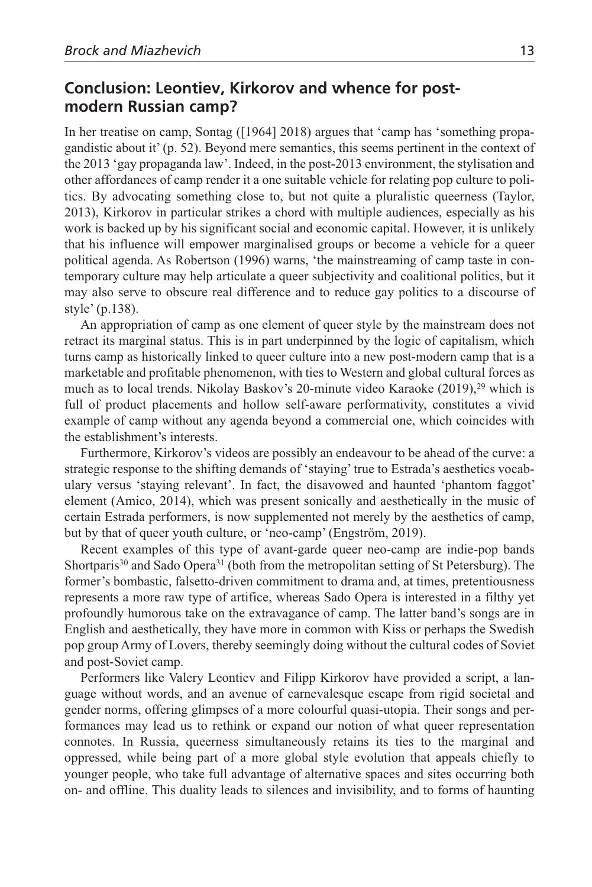## **Conclusion: Leontiev, Kirkorov and whence for postmodern Russian camp?**

In her treatise on camp, Sontag ([1964] 2018) argues that 'camp has 'something propagandistic about it' (p. 52). Beyond mere semantics, this seems pertinent in the context of the 2013 'gay propaganda law'. Indeed, in the post-2013 environment, the stylisation and other affordances of camp render it a one suitable vehicle for relating pop culture to politics. By advocating something close to, but not quite a pluralistic queerness (Taylor, 2013), Kirkorov in particular strikes a chord with multiple audiences, especially as his work is backed up by his significant social and economic capital. However, it is unlikely that his influence will empower marginalised groups or become a vehicle for a queer political agenda. As Robertson (1996) warns, 'the mainstreaming of camp taste in contemporary culture may help articulate a queer subjectivity and coalitional politics, but it may also serve to obscure real difference and to reduce gay politics to a discourse of style' (p.138).

An appropriation of camp as one element of queer style by the mainstream does not retract its marginal status. This is in part underpinned by the logic of capitalism, which turns camp as historically linked to queer culture into a new post-modern camp that is a marketable and profitable phenomenon, with ties to Western and global cultural forces as much as to local trends. Nikolay Baskov's 20-minute video Karaoke (2019),<sup>29</sup> which is full of product placements and hollow self-aware performativity, constitutes a vivid example of camp without any agenda beyond a commercial one, which coincides with the establishment's interests.

Furthermore, Kirkorov's videos are possibly an endeavour to be ahead of the curve: a strategic response to the shifting demands of 'staying' true to Estrada's aesthetics vocabulary versus 'staying relevant'. In fact, the disavowed and haunted 'phantom faggot' element (Amico, 2014), which was present sonically and aesthetically in the music of certain Estrada performers, is now supplemented not merely by the aesthetics of camp, but by that of queer youth culture, or 'neo-camp' (Engström, 2019).

Recent examples of this type of avant-garde queer neo-camp are indie-pop bands Shortparis<sup>30</sup> and Sado Opera<sup>31</sup> (both from the metropolitan setting of St Petersburg). The former's bombastic, falsetto-driven commitment to drama and, at times, pretentiousness represents a more raw type of artifice, whereas Sado Opera is interested in a filthy yet profoundly humorous take on the extravagance of camp. The latter band's songs are in English and aesthetically, they have more in common with Kiss or perhaps the Swedish pop group Army of Lovers, thereby seemingly doing without the cultural codes of Soviet and post-Soviet camp.

Performers like Valery Leontiev and Filipp Kirkorov have provided a script, a language without words, and an avenue of carnevalesque escape from rigid societal and gender norms, offering glimpses of a more colourful quasi-utopia. Their songs and performances may lead us to rethink or expand our notion of what queer representation connotes. In Russia, queerness simultaneously retains its ties to the marginal and oppressed, while being part of a more global style evolution that appeals chiefly to younger people, who take full advantage of alternative spaces and sites occurring both on- and offline. This duality leads to silences and invisibility, and to forms of haunting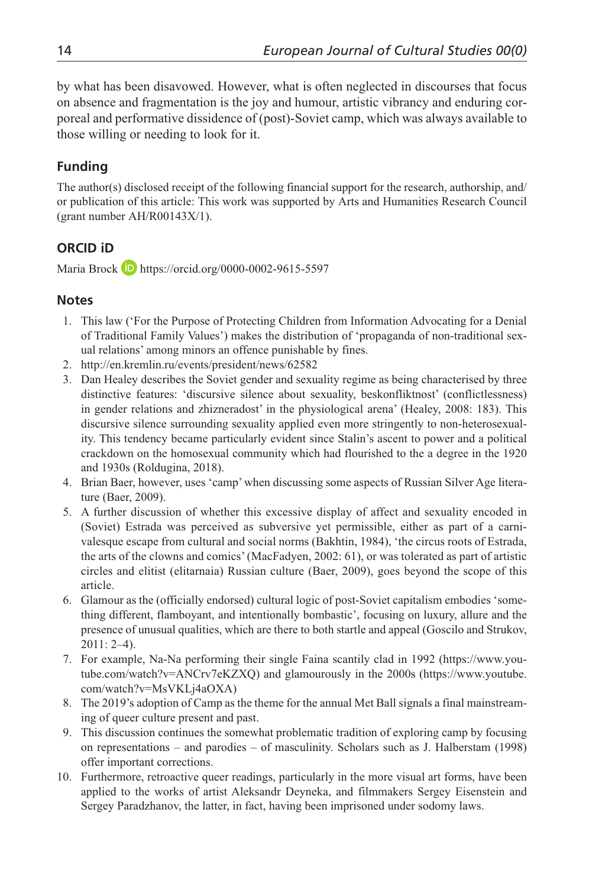by what has been disavowed. However, what is often neglected in discourses that focus on absence and fragmentation is the joy and humour, artistic vibrancy and enduring corporeal and performative dissidence of (post)-Soviet camp, which was always available to those willing or needing to look for it.

## **Funding**

The author(s) disclosed receipt of the following financial support for the research, authorship, and/ or publication of this article: This work was supported by Arts and Humanities Research Council (grant number AH/R00143X/1).

### **ORCID iD**

Maria Brock  $\Box$  https://orcid.org/0000-0002-9615-5597

#### **Notes**

- 1. This law ('For the Purpose of Protecting Children from Information Advocating for a Denial of Traditional Family Values') makes the distribution of 'propaganda of non-traditional sexual relations' among minors an offence punishable by fines.
- 2. http://en.kremlin.ru/events/president/news/62582
- 3. Dan Healey describes the Soviet gender and sexuality regime as being characterised by three distinctive features: 'discursive silence about sexuality, beskonfliktnost' (conflictlessness) in gender relations and zhizneradost' in the physiological arena' (Healey, 2008: 183). This discursive silence surrounding sexuality applied even more stringently to non-heterosexuality. This tendency became particularly evident since Stalin's ascent to power and a political crackdown on the homosexual community which had flourished to the a degree in the 1920 and 1930s (Roldugina, 2018).
- 4. Brian Baer, however, uses 'camp' when discussing some aspects of Russian Silver Age literature (Baer, 2009).
- 5. A further discussion of whether this excessive display of affect and sexuality encoded in (Soviet) Estrada was perceived as subversive yet permissible, either as part of a carnivalesque escape from cultural and social norms (Bakhtin, 1984), 'the circus roots of Estrada, the arts of the clowns and comics' (MacFadyen, 2002: 61), or was tolerated as part of artistic circles and elitist (elitarnaia) Russian culture (Baer, 2009), goes beyond the scope of this article.
- 6. Glamour as the (officially endorsed) cultural logic of post-Soviet capitalism embodies 'something different, flamboyant, and intentionally bombastic', focusing on luxury, allure and the presence of unusual qualities, which are there to both startle and appeal (Goscilo and Strukov, 2011: 2–4).
- 7. For example, Na-Na performing their single Faina scantily clad in 1992 (https://www.youtube.com/watch?v=ANCrv7eKZXQ) and glamourously in the 2000s (https://www.youtube. com/watch?v=MsVKLj4aOXA)
- 8. The 2019's adoption of Camp as the theme for the annual Met Ball signals a final mainstreaming of queer culture present and past.
- 9. This discussion continues the somewhat problematic tradition of exploring camp by focusing on representations – and parodies – of masculinity. Scholars such as J. Halberstam (1998) offer important corrections.
- 10. Furthermore, retroactive queer readings, particularly in the more visual art forms, have been applied to the works of artist Aleksandr Deyneka, and filmmakers Sergey Eisenstein and Sergey Paradzhanov, the latter, in fact, having been imprisoned under sodomy laws.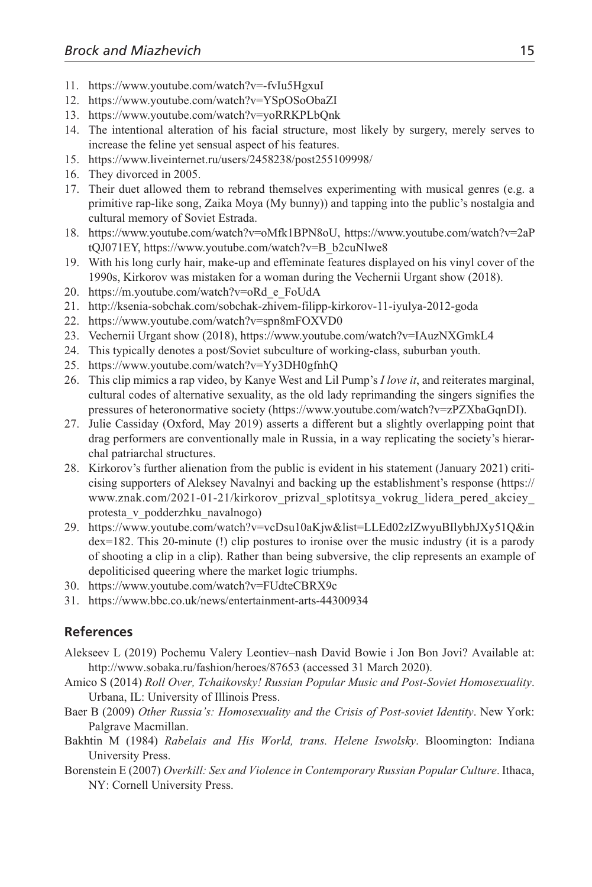- 11. https://www.youtube.com/watch?v=-fvIu5HgxuI
- 12. https://www.youtube.com/watch?v=YSpOSoObaZI
- 13. https://www.youtube.com/watch?v=yoRRKPLbQnk
- 14. The intentional alteration of his facial structure, most likely by surgery, merely serves to increase the feline yet sensual aspect of his features.
- 15. https://www.liveinternet.ru/users/2458238/post255109998/
- 16. They divorced in 2005.
- 17. Their duet allowed them to rebrand themselves experimenting with musical genres (e.g. a primitive rap-like song, Zaika Moya (My bunny)) and tapping into the public's nostalgia and cultural memory of Soviet Estrada.
- 18. https://www.youtube.com/watch?v=oMfk1BPN8oU, https://www.youtube.com/watch?v=2aP tQJ071EY, https://www.youtube.com/watch?v=B\_b2cuNlwe8
- 19. With his long curly hair, make-up and effeminate features displayed on his vinyl cover of the 1990s, Kirkorov was mistaken for a woman during the Vechernii Urgant show (2018).
- 20. https://m.youtube.com/watch?v=oRd\_e\_FoUdA
- 21. http://ksenia-sobchak.com/sobchak-zhivem-filipp-kirkorov-11-iyulya-2012-goda
- 22. https://www.youtube.com/watch?v=spn8mFOXVD0
- 23. Vechernii Urgant show (2018), https://www.youtube.com/watch?v=IAuzNXGmkL4
- 24. This typically denotes a post/Soviet subculture of working-class, suburban youth.
- 25. https://www.youtube.com/watch?v=Yy3DH0gfnhQ
- 26. This clip mimics a rap video, by Kanye West and Lil Pump's *I love it*, and reiterates marginal, cultural codes of alternative sexuality, as the old lady reprimanding the singers signifies the pressures of heteronormative society (https://www.youtube.com/watch?v=zPZXbaGqnDI).
- 27. Julie Cassiday (Oxford, May 2019) asserts a different but a slightly overlapping point that drag performers are conventionally male in Russia, in a way replicating the society's hierarchal patriarchal structures.
- 28. Kirkorov's further alienation from the public is evident in his statement (January 2021) criticising supporters of Aleksey Navalnyi and backing up the establishment's response (https:// www.znak.com/2021-01-21/kirkorov\_prizval\_splotitsya\_vokrug\_lidera\_pered\_akciey\_ protesta\_v\_podderzhku\_navalnogo)
- 29. https://www.youtube.com/watch?v=vcDsu10aKjw&list=LLEd02zIZwyuBIlybhJXy51Q&in dex=182. This 20-minute (!) clip postures to ironise over the music industry (it is a parody of shooting a clip in a clip). Rather than being subversive, the clip represents an example of depoliticised queering where the market logic triumphs.
- 30. https://www.youtube.com/watch?v=FUdteCBRX9c
- 31. https://www.bbc.co.uk/news/entertainment-arts-44300934

#### **References**

- Alekseev L (2019) Pochemu Valery Leontiev–nash David Bowie i Jon Bon Jovi? Available at: http://www.sobaka.ru/fashion/heroes/87653 (accessed 31 March 2020).
- Amico S (2014) *Roll Over, Tchaikovsky! Russian Popular Music and Post-Soviet Homosexuality*. Urbana, IL: University of Illinois Press.
- Baer B (2009) *Other Russia's: Homosexuality and the Crisis of Post-soviet Identity*. New York: Palgrave Macmillan.
- Bakhtin M (1984) *Rabelais and His World, trans. Helene Iswolsky*. Bloomington: Indiana University Press.
- Borenstein E (2007) *Overkill: Sex and Violence in Contemporary Russian Popular Culture*. Ithaca, NY: Cornell University Press.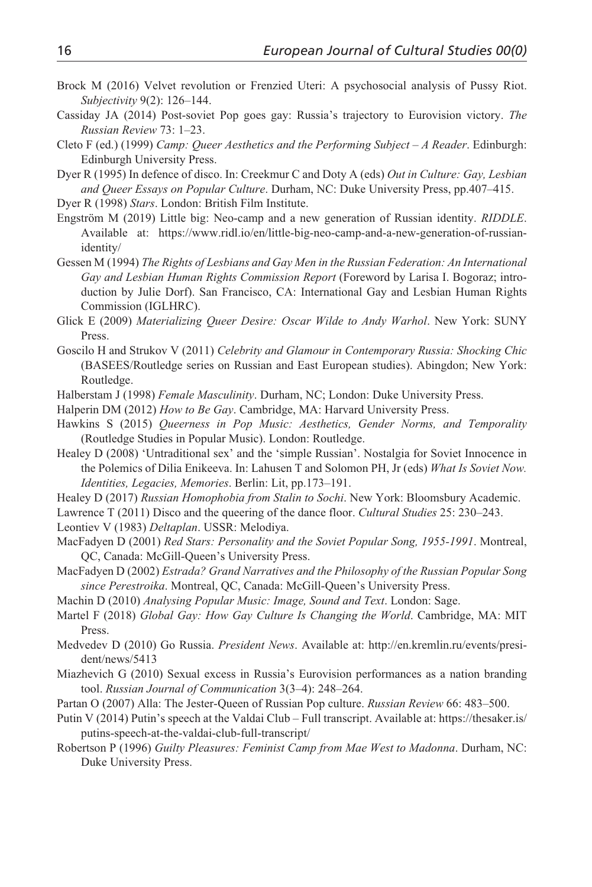- Brock M (2016) Velvet revolution or Frenzied Uteri: A psychosocial analysis of Pussy Riot. *Subjectivity* 9(2): 126–144.
- Cassiday JA (2014) Post-soviet Pop goes gay: Russia's trajectory to Eurovision victory. *The Russian Review* 73: 1–23.
- Cleto F (ed.) (1999) *Camp: Queer Aesthetics and the Performing Subject A Reader*. Edinburgh: Edinburgh University Press.
- Dyer R (1995) In defence of disco. In: Creekmur C and Doty A (eds) *Out in Culture: Gay, Lesbian and Queer Essays on Popular Culture*. Durham, NC: Duke University Press, pp.407–415.
- Dyer R (1998) *Stars*. London: British Film Institute.
- Engström M (2019) Little big: Neo-camp and a new generation of Russian identity. *RIDDLE*. Available at: https://www.ridl.io/en/little-big-neo-camp-and-a-new-generation-of-russianidentity/
- Gessen M (1994) *The Rights of Lesbians and Gay Men in the Russian Federation: An International Gay and Lesbian Human Rights Commission Report* (Foreword by Larisa I. Bogoraz; introduction by Julie Dorf). San Francisco, CA: International Gay and Lesbian Human Rights Commission (IGLHRC).
- Glick E (2009) *Materializing Queer Desire: Oscar Wilde to Andy Warhol*. New York: SUNY Press.
- Goscilo H and Strukov V (2011) *Celebrity and Glamour in Contemporary Russia: Shocking Chic* (BASEES/Routledge series on Russian and East European studies). Abingdon; New York: Routledge.
- Halberstam J (1998) *Female Masculinity*. Durham, NC; London: Duke University Press.
- Halperin DM (2012) *How to Be Gay*. Cambridge, MA: Harvard University Press.
- Hawkins S (2015) *Queerness in Pop Music: Aesthetics, Gender Norms, and Temporality* (Routledge Studies in Popular Music). London: Routledge.
- Healey D (2008) 'Untraditional sex' and the 'simple Russian'. Nostalgia for Soviet Innocence in the Polemics of Dilia Enikeeva. In: Lahusen T and Solomon PH, Jr (eds) *What Is Soviet Now. Identities, Legacies, Memories*. Berlin: Lit, pp.173–191.
- Healey D (2017) *Russian Homophobia from Stalin to Sochi*. New York: Bloomsbury Academic.
- Lawrence T (2011) Disco and the queering of the dance floor. *Cultural Studies* 25: 230–243.
- Leontiev V (1983) *Deltaplan*. USSR: Melodiya.
- MacFadyen D (2001) *Red Stars: Personality and the Soviet Popular Song, 1955-1991*. Montreal, QC, Canada: McGill-Queen's University Press.
- MacFadyen D (2002) *Estrada? Grand Narratives and the Philosophy of the Russian Popular Song since Perestroika*. Montreal, QC, Canada: McGill-Queen's University Press.
- Machin D (2010) *Analysing Popular Music: Image, Sound and Text*. London: Sage.
- Martel F (2018) *Global Gay: How Gay Culture Is Changing the World*. Cambridge, MA: MIT Press.
- Medvedev D (2010) Go Russia. *President News*. Available at: http://en.kremlin.ru/events/president/news/5413
- Miazhevich G (2010) Sexual excess in Russia's Eurovision performances as a nation branding tool. *Russian Journal of Communication* 3(3–4): 248–264.
- Partan O (2007) Alla: The Jester-Queen of Russian Pop culture. *Russian Review* 66: 483–500.
- Putin V (2014) Putin's speech at the Valdai Club Full transcript. Available at: https://thesaker.is/ putins-speech-at-the-valdai-club-full-transcript/
- Robertson P (1996) *Guilty Pleasures: Feminist Camp from Mae West to Madonna*. Durham, NC: Duke University Press.